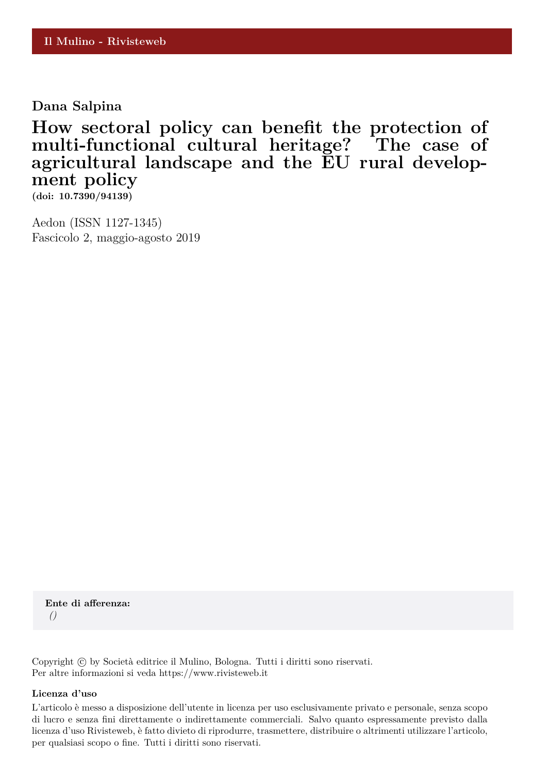**Dana Salpina**

**How sectoral policy can benefit the protection of multi-functional cultural heritage? The case of agricultural landscape and the EU rural development policy**

**(doi: 10.7390/94139)**

Aedon (ISSN 1127-1345) Fascicolo 2, maggio-agosto 2019

**Ente di afferenza:** *()*

Copyright © by Società editrice il Mulino, Bologna. Tutti i diritti sono riservati. Per altre informazioni si veda https://www.rivisteweb.it

## **Licenza d'uso**

L'articolo è messo a disposizione dell'utente in licenza per uso esclusivamente privato e personale, senza scopo di lucro e senza fini direttamente o indirettamente commerciali. Salvo quanto espressamente previsto dalla licenza d'uso Rivisteweb, è fatto divieto di riprodurre, trasmettere, distribuire o altrimenti utilizzare l'articolo, per qualsiasi scopo o fine. Tutti i diritti sono riservati.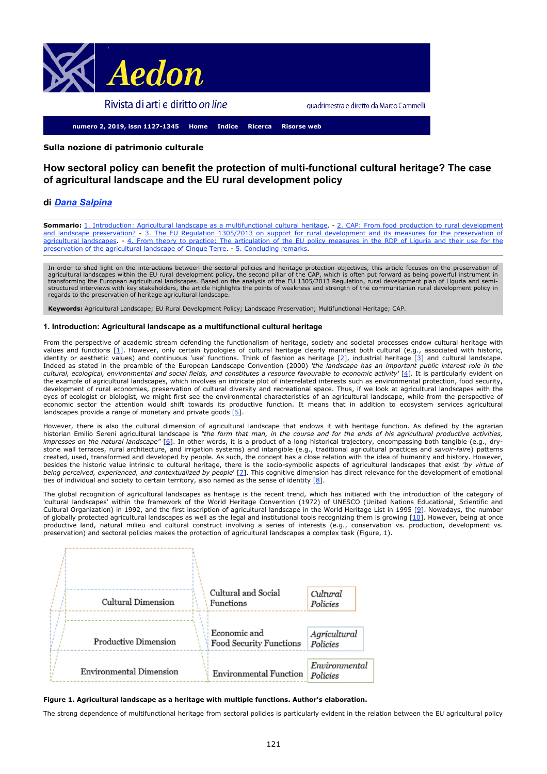<span id="page-1-0"></span>

quadrimestrale diretto da Marco Cammelli

**numero 2, 2019, issn 1127-1345 [Home](http://www.aedon.mulino.it/index.html) [Indice](http://www.aedon.mulino.it/archivio/2019/2/index219.htm) [Ricerca](http://www.aedon.mulino.it/risorse/cerca.htm) [Risorse web](http://www.aedon.mulino.it/risorse/web.htm)**

## <span id="page-1-10"></span>**Sulla nozione di patrimonio culturale**

# **How sectoral policy can benefit the protection of multi-functional cultural heritage? The case of agricultural landscape and the EU rural development policy**

## **di** *[Dana Salpina](http://www.aedon.mulino.it/archivio/2019/2/autor219.htm)*

Sommario: [1. Introduction: Agricultural landscape as a multifunctional cultural heritage](#page-1-0). - [2. CAP: From food production to rural development](#page-1-0) [and landscape preservation?](#page-1-0) - [3. The EU Regulation 1305/2013 on support for rural development and its](#page-1-0) [measures for the preservation of](#page-1-0) [agricultural landscapes](#page-1-0). - [4. From theory to practice: The articulation of](#page-1-0) [the EU policy measures in the RDP of Liguria and their use for the](#page-1-0) [preservation](#page-1-0) [of the agricultural landscape of Cinque Terre](#page-1-0). - [5. Concluding remarks](#page-1-0).

In order to shed light on the interactions between the sectoral policies and heritage protection objectives, this article focuses on the preservation of agricultural landscapes within the EU rural development policy, the second pillar of the CAP, which is often put forward as being powerful instrument in<br>transforming the European agricultural landscapes. Based on the analy regards to the preservation of heritage agricultural landscape.

**Keywords:** Agricultural Landscape; EU Rural Development Policy; Landscape Preservation; Multifunctional Heritage; CAP.

### **1. Introduction: Agricultural landscape as a multifunctional cultural heritage**

<span id="page-1-3"></span><span id="page-1-2"></span><span id="page-1-1"></span>From the perspective of academic stream defending the functionalism of heritage, society and societal processes endow cultural heritage with values and functions [\[1](#page-5-0)]. However, only certain typologies of cultural heritage clearly manifest both cultural (e.g., associated with historic, identity or aesthetic values) and continuous 'use' functions. Think of fashion as heritage [\[2](#page-5-1)], industrial heritage [\[3](#page-5-2)] and cultural landscape. Indeed as stated in the preamble of the European Landscape Convention (2000) *'the landscape has an important public interest role in the cultural, ecological, environmental and social fields, and constitutes a resource favourable to economic activity'* [\[4](#page-5-3)]*.* It is particularly evident on the example of agricultural landscapes, which involves an intricate plot of interrelated interests such as environmental protection, food security, development of rural economies, preservation of cultural diversity and recreational space. Thus, if we look at agricultural landscapes with the eyes of ecologist or biologist, we might first see the environmental characteristics of an agricultural landscape, while from the perspective of economic sector the attention would shift towards its productive function. It means that in addition to ecosystem services agricultural landscapes provide a range of monetary and private goods  $[5]$  $[5]$ .

<span id="page-1-5"></span><span id="page-1-4"></span>However, there is also the cultural dimension of agricultural landscape that endows it with heritage function. As defined by the agrarian historian Emilio Sereni agricultural landscape is *"the form that man, in the course and for the ends of his agricultural productive activities, impresses on the natural landscape"* [\[6](#page-5-5)]. In other words, it is a product of a long historical trajectory, encompassing both tangible (e.g., drystone wall terraces, rural architecture, and irrigation systems) and intangible (e.g., traditional agricultural practices and *savoir-fair*e) patterns created, used, transformed and developed by people. As such, the concept has a close relation with the idea of humanity and history. However, besides the historic value intrinsic to cultural heritage, there is the socio-symbolic aspects of agricultural landscapes that exist *'by virtue of being perceived, experienced, and contextualized by people*' [[7](#page-5-6)]. This cognitive dimension has direct relevance for the development of emotional ties of individual and society to certain territory, also named as the sense of identity [\[8](#page-5-7)].

<span id="page-1-9"></span><span id="page-1-8"></span><span id="page-1-7"></span><span id="page-1-6"></span>The global recognition of agricultural landscapes as heritage is the recent trend, which has initiated with the introduction of the category of 'cultural landscapes' within the framework of the World Heritage Convention (1972) of UNESCO (United Nations Educational, Scientific and Cultural Organization) in 1992, and the first inscription of agricultural landscape in the World Heritage List in 1995 [\[9](#page-5-8)]. Nowadays, the number of globally protected agricultural landscapes as well as the legal and institutional tools recognizing them is growing  $[10]$  $[10]$ . However, being at once productive land, natural milieu and cultural construct involving a series of interests (e.g., conservation vs. production, development vs. preservation) and sectoral policies makes the protection of agricultural landscapes a complex task (Figure, 1).

| Cultural Dimension             | Cultural and Social<br>Functions        | Cultural<br>Policies      |
|--------------------------------|-----------------------------------------|---------------------------|
| Productive Dimension           | Economic and<br>Food Security Functions | Agricultural<br>Policies  |
| <b>Environmental Dimension</b> | <b>Environmental Function</b>           | Environmental<br>Policies |

#### **Figure 1. Agricultural landscape as a heritage with multiple functions. Author's elaboration.**

The strong dependence of multifunctional heritage from sectoral policies is particularly evident in the relation between the EU agricultural policy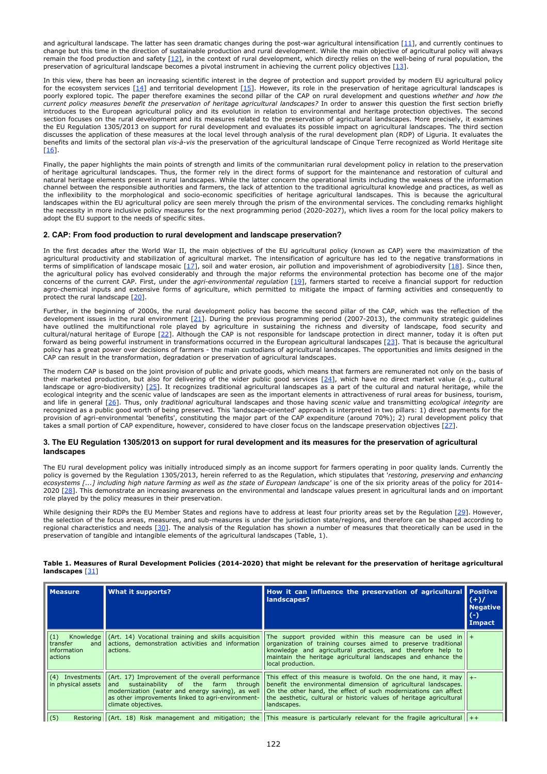<span id="page-2-1"></span><span id="page-2-0"></span>and agricultural landscape. The latter has seen dramatic changes during the post-war agricultural intensification  $[11]$  $[11]$ , and currently continues to change but this time in the direction of sustainable production and rural development. While the main objective of agricultural policy will always remain the food production and safety  $[12]$  $[12]$  $[12]$ , in the context of rural development, which directly relies on the well-being of rural population, the preservation of agricultural landscape becomes a pivotal instrument in achieving the current policy objectives [\[13](#page-5-12)].

<span id="page-2-3"></span><span id="page-2-2"></span>In this view, there has been an increasing scientific interest in the degree of protection and support provided by modern EU agricultural policy for the ecosystem services [<u>[14](#page-5-13)]</u> and territorial development [<u>15]</u>. However, its role in the preservation of heritage agricultural landscapes is poorly explored topic. The paper therefore examines the second pillar of the CAP on rural development and questions *whether and how the current policy measures benefit the preservation of heritage agricultural landscapes?* In order to answer this question the first section briefly introduces to the European agricultural policy and its evolution in relation to environmental and heritage protection objectives. The second section focuses on the rural development and its measures related to the preservation of agricultural landscapes. More precisely, it examines the EU Regulation 1305/2013 on support for rural development and evaluates its possible impact on agricultural landscapes. The third section discusses the application of these measures at the local level through analysis of the rural development plan (RDP) of Liguria. It evaluates the benefits and limits of the sectoral plan *vis-à-vis* the preservation of the agricultural landscape of Cinque Terre recognized as World Heritage site [\[16](#page-5-15)].

<span id="page-2-4"></span>Finally, the paper highlights the main points of strength and limits of the communitarian rural development policy in relation to the preservation of heritage agricultural landscapes. Thus, the former rely in the direct forms of support for the maintenance and restoration of cultural and natural heritage elements present in rural landscapes. While the latter concern the operational limits including the weakness of the information channel between the responsible authorities and farmers, the lack of attention to the traditional agricultural knowledge and practices, as well as the inflexibility to the morphological and socio-economic specificities of heritage agricultural landscapes. This is because the agricultural landscapes within the EU agricultural policy are seen merely through the prism of the environmental services. The concluding remarks highlight the necessity in more inclusive policy measures for the next programming period (2020-2027), which lives a room for the local policy makers to adopt the EU support to the needs of specific sites.

## **2. CAP: From food production to rural development and landscape preservation?**

<span id="page-2-5"></span>In the first decades after the World War II, the main objectives of the EU agricultural policy (known as CAP) were the maximization of the agricultural productivity and stabilization of agricultural market. The intensification of agriculture has led to the negative transformations in terms of simplification of landscape mosaic  $[17]$  $[17]$  $[17]$ , soil and water erosion, air pollution and impoverishment of agrobiodiversity  $[18]$  $[18]$  $[18]$ . Since then, the agricultural policy has evolved considerably and through the major reforms the environmental protection has become one of the major concerns of the current CAP. First, under the *agri-environmental regulation* [\[19](#page-5-18)], farmers started to receive a financial support for reduction agro-chemical inputs and extensive forms of agriculture, which permitted to mitigate the impact of farming activities and consequently to protect the rural landscape [[20](#page-5-19)].

<span id="page-2-9"></span><span id="page-2-8"></span><span id="page-2-7"></span><span id="page-2-6"></span>Further, in the beginning of 2000s, the rural development policy has become the second pillar of the CAP, which was the reflection of the development issues in the rural environment [\[21](#page-5-20)]. During the previous programming period (2007-2013), the community strategic guidelines have outlined the multifunctional role played by agriculture in sustaining the richness and diversity of landscape, food security and cultural/natural heritage of Europe [\[22](#page-5-21)]. Although the CAP is not responsible for landscape protection in direct manner, today it is often put forward as being powerful instrument in transformations occurred in the European agricultural landscapes [[23](#page-5-22)]. That is because the agricultural policy has a great power over decisions of farmers - the main custodians of agricultural landscapes. The opportunities and limits designed in the CAP can result in the transformation, degradation or preservation of agricultural landscapes.

<span id="page-2-13"></span><span id="page-2-12"></span><span id="page-2-11"></span><span id="page-2-10"></span>The modern CAP is based on the joint provision of public and private goods, which means that farmers are remunerated not only on the basis of their marketed production, but also for delivering of the wider public good services [\[24](#page-5-23)], which have no direct market value (e.g., cultural landscape or agro-biodiversity)  $[25]$  $[25]$ . It recognizes traditional agricultural landscapes as a part of the cultural and natural heritage, while the ecological integrity and the scenic value of landscapes are seen as the important elements in attractiveness of rural areas for business, tourism, and life in general [[26](#page-5-25)]. Thus, only *traditional* agricultural landscapes and those having *scenic value* and transmitting *ecological integrity* are recognized as a public good worth of being preserved. This 'landscape-oriented' approach is interpreted in two pillars: 1) direct payments for the provision of agri-environmental 'benefits', constituting the major part of the CAP expenditure (around 70%); 2) rural development policy that takes a small portion of CAP expenditure, however, considered to have closer focus on the landscape preservation objectives [[27](#page-5-26)].

### <span id="page-2-14"></span>**3. The EU Regulation 1305/2013 on support for rural development and its measures for the preservation of agricultural landscapes**

The EU rural development policy was initially introduced simply as an income support for farmers operating in poor quality lands. Currently the policy is governed by the Regulation 1305/2013, herein referred to as the Regulation, which stipulates that '*restoring, preserving and enhancing ecosystems [...] including high nature farming as well as the state of European landscape'* is one of the six priority areas of the policy for 2014- 2020 [\[28](#page-5-27)]. This demonstrate an increasing awareness on the environmental and landscape values present in agricultural lands and on important role played by the policy measures in their preservation.

<span id="page-2-17"></span><span id="page-2-16"></span><span id="page-2-15"></span>While designing their RDPs the EU Member States and regions have to address at least four priority areas set by the Regulation [\[29](#page-5-28)]. However, the selection of the focus areas, measures, and sub-measures is under the jurisdiction state/regions, and therefore can be shaped according to regional characteristics and needs [\[30](#page-5-29)]. The analysis of the Regulation has shown a number of measures that theoretically can be used in the preservation of tangible and intangible elements of the agricultural landscapes (Table, 1).

| <b>Measure</b>                                   | What it supports?                                                                                                            | How it can influence the preservation of agricultural Positive<br>landscapes?                                                                                                                                                                                                                                                                                                                                                                | $(+)/$<br><b>Negative</b><br>$(-)$<br><b>Impact</b> |
|--------------------------------------------------|------------------------------------------------------------------------------------------------------------------------------|----------------------------------------------------------------------------------------------------------------------------------------------------------------------------------------------------------------------------------------------------------------------------------------------------------------------------------------------------------------------------------------------------------------------------------------------|-----------------------------------------------------|
| (1)<br>transfer<br>and<br>information<br>actions | actions, demonstration activities and information<br>actions.                                                                | Knowledge $\left  \begin{array}{cc} (Art. 14) \end{array} \right $ Vocational training and skills acquisition The support provided within this measure can be used in $\left  \begin{array}{c} + \end{array} \right $<br>organization of training courses aimed to preserve traditional<br>knowledge and agricultural practices, and therefore help to<br>maintain the heritage agricultural landscapes and enhance the<br>local production. |                                                     |
| in physical assets                               | modernization (water and energy saving), as well<br>as other improvements linked to agri-environment-<br>climate objectives. | (4) Investments $ (Art. 17)$ Improvement of the overall performance This effect of this measure is twofold. On the one hand, it may $ +$<br>$ $ and sustainability of the farm through $ $ benefit the environmental dimension of agricultural landscapes.<br>On the other hand, the effect of such modernizations can affect<br>the aesthetic, cultural or historic values of heritage agricultural<br>landscapes.                          |                                                     |
| (5)                                              |                                                                                                                              | Restoring $(Art. 18)$ Risk management and mitigation; the This measure is particularly relevant for the fragile agricultural $ ++$                                                                                                                                                                                                                                                                                                           |                                                     |

### <span id="page-2-18"></span>**Table 1. Measures of Rural Development Policies (2014-2020) that might be relevant for the preservation of heritage agricultural landscapes** [\[31](#page-5-30)]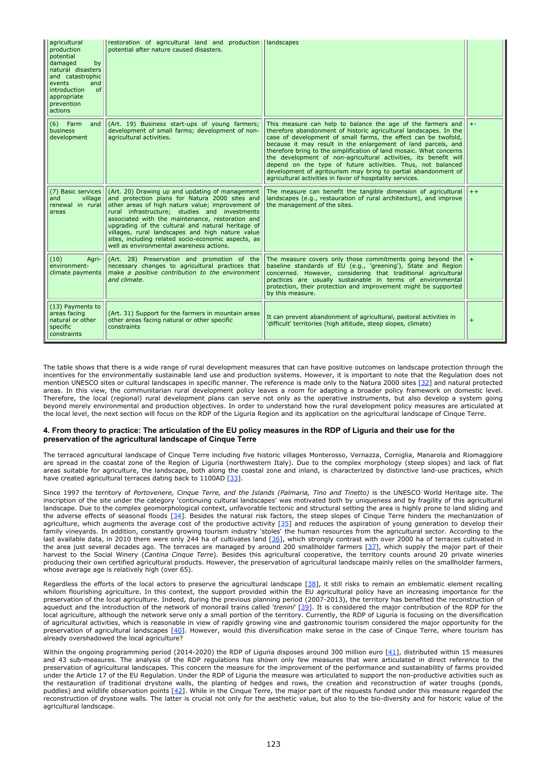| agricultural<br>production<br>potential<br>damaged<br>by<br>natural disasters<br>and catastrophic<br>events<br>and<br>of<br>introduction<br>appropriate<br>prevention<br>actions | restoration of agricultural land and production<br>potential after nature caused disasters.                                                                                                                                                                                                                                                                                                                                                                            | landscapes                                                                                                                                                                                                                                                                                                                                                                                                                                                                                                                                                                                                   |      |
|----------------------------------------------------------------------------------------------------------------------------------------------------------------------------------|------------------------------------------------------------------------------------------------------------------------------------------------------------------------------------------------------------------------------------------------------------------------------------------------------------------------------------------------------------------------------------------------------------------------------------------------------------------------|--------------------------------------------------------------------------------------------------------------------------------------------------------------------------------------------------------------------------------------------------------------------------------------------------------------------------------------------------------------------------------------------------------------------------------------------------------------------------------------------------------------------------------------------------------------------------------------------------------------|------|
| $(6)$ Farm<br>and<br>business<br>development                                                                                                                                     | (Art. 19) Business start-ups of young farmers;<br>development of small farms; development of non-<br>agricultural activities.                                                                                                                                                                                                                                                                                                                                          | This measure can help to balance the age of the farmers and<br>therefore abandonment of historic agricultural landscapes. In the<br>case of development of small farms, the effect can be twofold,<br>because it may result in the enlargement of land parcels, and<br>therefore bring to the simplification of land mosaic. What concerns<br>the development of non-agricultural activities, its benefit will<br>depend on the type of future activities. Thus, not balanced<br>development of agritourism may bring to partial abandonment of<br>agricultural activities in favor of hospitality services. |      |
| (7) Basic services<br>$v$ illage<br>and<br>renewal in rural<br>areas                                                                                                             | (Art. 20) Drawing up and updating of management<br>and protection plans for Natura 2000 sites and<br>other areas of high nature value; improvement of<br>rural infrastructure; studies and investments<br>associated with the maintenance, restoration and<br>upgrading of the cultural and natural heritage of<br>villages, rural landscapes and high nature value<br>sites, including related socio-economic aspects, as<br>well as environmental awareness actions. | The measure can benefit the tangible dimension of agricultural<br>landscapes (e.g., restauration of rural architecture), and improve<br>the management of the sites.                                                                                                                                                                                                                                                                                                                                                                                                                                         | $++$ |
| (10)<br>Aari-<br>environment-<br>climate payments                                                                                                                                | (Art. 28) Preservation and promotion of the<br>necessary changes to agricultural practices that<br>make a positive contribution to the environment<br>and climate.                                                                                                                                                                                                                                                                                                     | The measure covers only those commitments going beyond the<br>baseline standards of EU (e.g., 'greening'), State and Region<br>concerned. However, considering that traditional agricultural<br>practices are usually sustainable in terms of environmental<br>protection, their protection and improvement might be supported<br>by this measure.                                                                                                                                                                                                                                                           |      |
| (13) Payments to<br>areas facing<br>natural or other<br>specific<br>constraints                                                                                                  | (Art. 31) Support for the farmers in mountain areas<br>other areas facing natural or other specific<br>constraints                                                                                                                                                                                                                                                                                                                                                     | It can prevent abandonment of agricultural, pastoral activities in<br>'difficult' territories (high altitude, steep slopes, climate)                                                                                                                                                                                                                                                                                                                                                                                                                                                                         |      |

<span id="page-3-0"></span>The table shows that there is a wide range of rural development measures that can have positive outcomes on landscape protection through the incentives for the environmentally sustainable land use and production systems. However, it is important to note that the Regulation does not mention UNESCO sites or cultural landscapes in specific manner. The reference is made only to the Natura 2000 sites [\[32](#page-6-0)] and natural protected areas. In this view, the communitarian rural development policy leaves a room for adapting a broader policy framework on domestic level. Therefore, the local (regional) rural development plans can serve not only as the operative instruments, but also develop a system going beyond merely environmental and production objectives. In order to understand how the rural development policy measures are articulated at the local level, the next section will focus on the RDP of the Liguria Region and its application on the agricultural landscape of Cinque Terre.

## **4. From theory to practice: The articulation of the EU policy measures in the RDP of Liguria and their use for the preservation of the agricultural landscape of Cinque Terre**

The terraced agricultural landscape of Cinque Terre including five historic villages Monterosso, Vernazza, Corniglia, Manarola and Riomaggiore are spread in the coastal zone of the Region of Liguria (northwestern Italy). Due to the complex morphology (steep slopes) and lack of flat areas suitable for agriculture, the landscape, both along the coastal zone and inland, is characterized by distinctive land-use practices, which have created agricultural terraces dating back to 1100AD [\[33](#page-6-1)].

<span id="page-3-3"></span><span id="page-3-2"></span><span id="page-3-1"></span>Since 1997 the territory of *Portovenere, Cinque Terre, and the Islands (Palmaria, Tino and Tinetto)* is the UNESCO World Heritage site. The inscription of the site under the category 'continuing cultural landscapes' was motivated both by uniqueness and by fragility of this agricultural landscape. Due to the complex geomorphological context, unfavorable tectonic and structural setting the area is highly prone to land sliding and the adverse effects of seasonal floods [\[34](#page-6-2)]. Besides the natural risk factors, the steep slopes of Cinque Terre hinders the mechanization of agriculture, which augments the average cost of the productive activity [\[35](#page-6-3)] and reduces the aspiration of young generation to develop their family vineyards. In addition, constantly growing tourism industry 'stoles' the human resources from the agricultural sector. According to the last available data, in 2010 there were only 244 ha of cultivates land [\[36](#page-6-4)], which strongly contrast with over 2000 ha of terraces cultivated in the area just several decades ago. The terraces are managed by around 200 smallholder farmers [\[37](#page-6-5)], which supply the major part of their harvest to the Social Winery (*Cantina Cinque Terre*). Besides this agricultural cooperative, the territory counts around 20 private wineries producing their own certified agricultural products. However, the preservation of agricultural landscape mainly relies on the smallholder farmers, whose average age is relatively high (over 65).

<span id="page-3-7"></span><span id="page-3-6"></span><span id="page-3-5"></span><span id="page-3-4"></span>Regardless the efforts of the local actors to preserve the agricultural landscape [[38](#page-6-6)], it still risks to remain an emblematic element recalling whilom flourishing agriculture. In this context, the support provided within the EU agricultural policy have an increasing importance for the preservation of the local agriculture. Indeed, during the previous planning period (2007-2013), the territory has benefited the reconstruction of aqueduct and the introduction of the network of monorail trains called '*trenini*' [\[39](#page-6-7)]. It is considered the major contribution of the RDP for the local agriculture, although the network serve only a small portion of the territory. Currently, the RDP of Liguria is focusing on the diversification of agricultural activities, which is reasonable in view of rapidly growing vine and gastronomic tourism considered the major opportunity for the preservation of agricultural landscapes  $[40]$  $[40]$ . However, would this diversification make sense in the case of Cinque Terre, where tourism has already overshadowed the local agriculture?

<span id="page-3-10"></span><span id="page-3-9"></span><span id="page-3-8"></span>Within the ongoing programming period (2014-2020) the RDP of Liguria disposes around 300 million euro [\[41](#page-6-9)], distributed within 15 measures and 43 sub-measures. The analysis of the RDP regulations has shown only few measures that were articulated in direct reference to the preservation of agricultural landscapes. This concern the measure for the improvement of the performance and sustainability of farms provided under the Article 17 of the EU Regulation. Under the RDP of Liguria the measure was articulated to support the non-productive activities such as the restauration of traditional drystone walls, the planting of hedges and rows, the creation and reconstruction of water troughs (ponds, puddles) and wildlife observation points [\[42](#page-6-10)]. While in the Cinque Terre, the major part of the requests funded under this measure regarded the reconstruction of drystone walls. The latter is crucial not only for the aesthetic value, but also to the bio-diversity and for historic value of the agricultural landscape.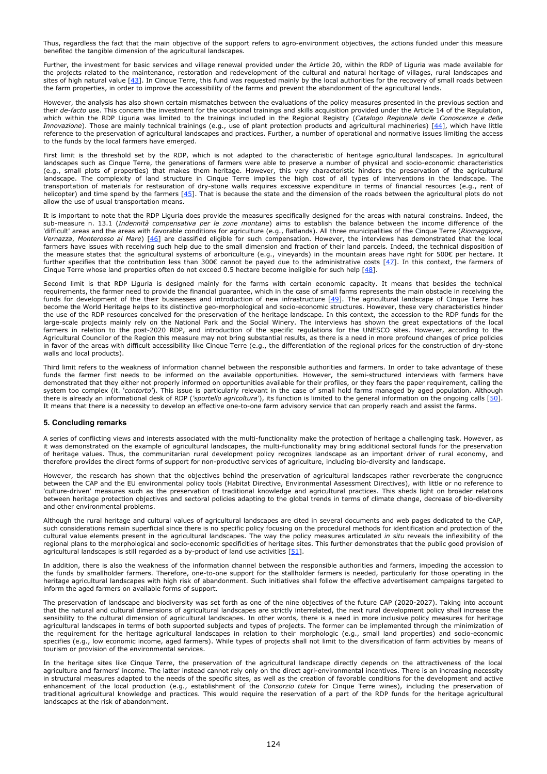Thus, regardless the fact that the main objective of the support refers to agro-environment objectives, the actions funded under this measure benefited the tangible dimension of the agricultural landscapes.

<span id="page-4-0"></span>Further, the investment for basic services and village renewal provided under the Article 20, within the RDP of Liguria was made available for the projects related to the maintenance, restoration and redevelopment of the cultural and natural heritage of villages, rural landscapes and sites of high natural value [\[43](#page-6-11)]. In Cinque Terre, this fund was requested mainly by the local authorities for the recovery of small roads between the farm properties, in order to improve the accessibility of the farms and prevent the abandonment of the agricultural lands.

<span id="page-4-1"></span>However, the analysis has also shown certain mismatches between the evaluations of the policy measures presented in the previous section and their *de-facto* use. This concern the investment for the vocational trainings and skills acquisition provided under the Article 14 of the Regulation, which within the RDP Liguria was limited to the trainings included in the Regional Registry (*Catalogo Regionale delle Conoscenze e delle Innovazione*). Those are mainly technical trainings (e.g., use of plant protection products and agricultural machineries) [\[44](#page-6-12)], which have little reference to the preservation of agricultural landscapes and practices. Further, a number of operational and normative issues limiting the access to the funds by the local farmers have emerged.

First limit is the threshold set by the RDP, which is not adapted to the characteristic of heritage agricultural landscapes. In agricultural landscapes such as Cinque Terre, the generations of farmers were able to preserve a number of physical and socio-economic characteristics (e.g., small plots of properties) that makes them heritage. However, this very characteristic hinders the preservation of the agricultural landscape. The complexity of land structure in Cinque Terre implies the high cost of all types of interventions in the landscape. The transportation of materials for restauration of dry-stone walls requires excessive expenditure in terms of financial resources (e.g., rent of helicopter) and time spend by the farmers [\[45](#page-6-13)]. That is because the state and the dimension of the roads between the agricultural plots do not allow the use of usual transportation means.

<span id="page-4-3"></span><span id="page-4-2"></span>It is important to note that the RDP Liguria does provide the measures specifically designed for the areas with natural constrains. Indeed, the sub-measure n. 13.1 (*Indennità compensativa per le zone montane*) aims to establish the balance between the income difference of the 'difficult' areas and the areas with favorable conditions for agriculture (e.g., flatlands). All three municipalities of the Cinque Terre (*Riomaggiore*, *Vernazza*, *Monterosso al Mare*) [\[46](#page-6-14)] are classified eligible for such compensation. However, the interviews has demonstrated that the local farmers have issues with receiving such help due to the small dimension and fraction of their land parcels. Indeed, the technical disposition of the measure states that the agricultural systems of arboriculture (e.g., vineyards) in the mountain areas have right for 500€ per hectare. It further specifies that the contribution less than 300€ cannot be payed due to the administrative costs  $[47]$  $[47]$  $[47]$ . In this context, the farmers of Cinque Terre whose land properties often do not exceed 0.5 hectare become ineligible for such help [\[48](#page-6-16)].

<span id="page-4-6"></span><span id="page-4-5"></span><span id="page-4-4"></span>Second limit is that RDP Liguria is designed mainly for the farms with certain economic capacity. It means that besides the technical requirements, the farmer need to provide the financial guarantee, which in the case of small farms represents the main obstacle in receiving the funds for development of the their businesses and introduction of new infrastructure  $[49]$  $[49]$ . The agricultural landscape of Cinque Terre has become the World Heritage helps to its distinctive geo-morphological and socio-economic structures. However, these very characteristics hinder the use of the RDP resources conceived for the preservation of the heritage landscape. In this context, the accession to the RDP funds for the large-scale projects mainly rely on the National Park and the Social Winery. The interviews has shown the great expectations of the local farmers in relation to the post-2020 RDP, and introduction of the specific regulations for the UNESCO sites. However, according to the Agricultural Councilor of the Region this measure may not bring substantial results, as there is a need in more profound changes of price policies in favor of the areas with difficult accessibility like Cinque Terre (e.g., the differentiation of the regional prices for the construction of dry-stone walls and local products).

Third limit refers to the weakness of information channel between the responsible authorities and farmers. In order to take advantage of these funds the farmer first needs to be informed on the available opportunities. However, the semi-structured interviews with farmers have demonstrated that they either not properly informed on opportunities available for their profiles, or they fears the paper requirement, calling the system too complex (it. '*contorto'*). This issue is particularly relevant in the case of small hold farms managed by aged population. Although there is already an informational desk of RDP (*'sportello agricoltura'*), its function is limited to the general information on the ongoing calls [[50](#page-6-18)]. It means that there is a necessity to develop an effective one-to-one farm advisory service that can properly reach and assist the farms.

## <span id="page-4-7"></span>**5. Concluding remarks**

A series of conflicting views and interests associated with the multi-functionality make the protection of heritage a challenging task. However, as it was demonstrated on the example of agricultural landscapes, the multi-functionality may bring additional sectoral funds for the preservation of heritage values. Thus, the communitarian rural development policy recognizes landscape as an important driver of rural economy, and therefore provides the direct forms of support for non-productive services of agriculture, including bio-diversity and landscape.

However, the research has shown that the objectives behind the preservation of agricultural landscapes rather reverberate the congruence between the CAP and the EU environmental policy tools (Habitat Directive, Environmental Assessment Directives), with little or no reference to 'culture-driven' measures such as the preservation of traditional knowledge and agricultural practices. This sheds light on broader relations between heritage protection objectives and sectoral policies adapting to the global trends in terms of climate change, decrease of bio-diversity and other environmental problems.

Although the rural heritage and cultural values of agricultural landscapes are cited in several documents and web pages dedicated to the CAP, such considerations remain superficial since there is no specific policy focusing on the procedural methods for identification and protection of the cultural value elements present in the agricultural landscapes. The way the policy measures articulated *in situ* reveals the inflexibility of the regional plans to the morphological and socio-economic specificities of heritage sites. This further demonstrates that the public good provision of agricultural landscapes is still regarded as a by-product of land use activities  $[51]$  $[51]$ .

<span id="page-4-8"></span>In addition, there is also the weakness of the information channel between the responsible authorities and farmers, impeding the accession to the funds by smallholder farmers. Therefore, one-to-one support for the stallholder farmers is needed, particularly for those operating in the heritage agricultural landscapes with high risk of abandonment. Such initiatives shall follow the effective advertisement campaigns targeted to inform the aged farmers on available forms of support.

The preservation of landscape and biodiversity was set forth as one of the nine objectives of the future CAP (2020-2027). Taking into account that the natural and cultural dimensions of agricultural landscapes are strictly interrelated, the next rural development policy shall increase the sensibility to the cultural dimension of agricultural landscapes. In other words, there is a need in more inclusive policy measures for heritage agricultural landscapes in terms of both supported subjects and types of projects. The former can be implemented through the minimization of the requirement for the heritage agricultural landscapes in relation to their morphologic (e.g., small land properties) and socio-economic specifies (e.g., low economic income, aged farmers). While types of projects shall not limit to the diversification of farm activities by means of tourism or provision of the environmental services.

In the heritage sites like Cinque Terre, the preservation of the agricultural landscape directly depends on the attractiveness of the local agriculture and farmers' income. The latter instead cannot rely only on the direct agri-environmental incentives. There is an increasing necessity in structural measures adapted to the needs of the specific sites, as well as the creation of favorable conditions for the development and active enhancement of the local production (e.g., establishment of the *Consorzio tutela* for Cinque Terre wines), including the preservation of traditional agricultural knowledge and practices. This would require the reservation of a part of the RDP funds for the heritage agricultural landscapes at the risk of abandonment.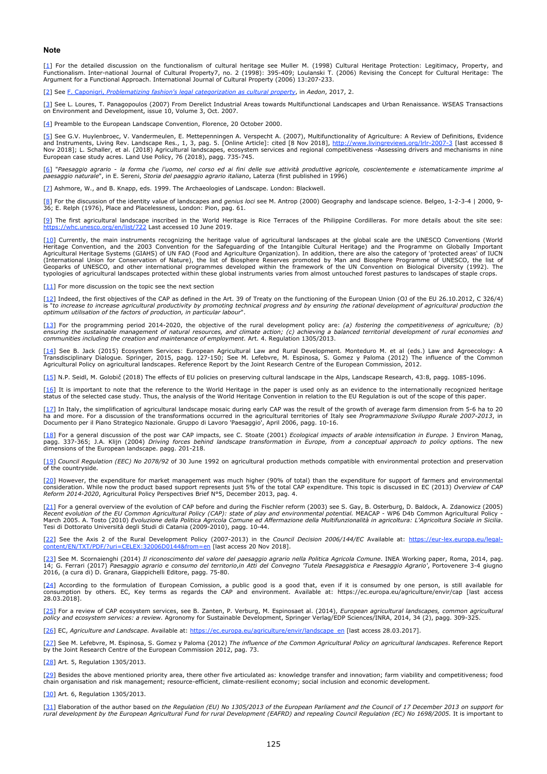#### **Note**

<span id="page-5-0"></span>[\[1](#page-1-1)] For the detailed discussion on the functionalism of cultural heritage see Muller M. (1998) Cultural Heritage Protection: Legitimacy, Property, and<br>Functionalism. Inter-national Journal of Cultural Property7, no. 2 (199

<span id="page-5-1"></span>[\[2](#page-1-2)] See [F.](http://www.aedon.mulino.it/archivio/2017/2/caponigri.htm) [Caponigri,](http://www.aedon.mulino.it/archivio/2017/2/caponigri.htm) *[Problematizing](http://www.aedon.mulino.it/archivio/2017/2/caponigri.htm) [fashion's legal categorization as cultural property](http://www.aedon.mulino.it/archivio/2017/2/caponigri.htm)*, in *Aedon*, 2017, 2.

<span id="page-5-2"></span>[<u>3]</u> See L. Loures, T. Panagopoulos (2007) From Derelict Industrial Areas towards Multifunctional Landscapes and Urban Renaissance. WSEAS Transactions<br>on Environment and Development, issue 10, Volume 3, Oct. 2007.

<span id="page-5-3"></span>[\[4](#page-1-3)] Preamble to the European Landscape Convention, Florence, 20 October 2000.

<span id="page-5-4"></span>[<u>5]</u> See G.V. Huylenbroec, V. Vandermeulen, E. Mettepenningen A. Verspecht A. (2007), Multifunctionality of Agriculture: A Review of Definitions, Evidence<br>and Instruments, Living Rev. Landscape Res., 1, 3, pag. 5. [Online

<span id="page-5-5"></span>[<u>6]</u> "Paesaggio agrario - la forma che l'uomo, nel corso ed ai fini delle sue attività produttive agricole, coscientemente e istematicamente imprime al<br>paesaggio naturale", in E. Sereni, Storia del paesaggio agrario itali

<span id="page-5-6"></span>[\[7](#page-1-6)] Ashmore, W., and B. Knapp, eds. 1999. The Archaeologies of Landscape. London: Blackwell.

<span id="page-5-7"></span>[\[8](#page-1-7)] For the discussion of the identity value of landscapes and *genius loci* see M. Antrop (2000) Geography and landscape science. Belgeo, 1-2-3-4 | 2000, 9- 36; E. Relph (1976), Place and Placelessness, London: Pion, pag. 61.

<span id="page-5-8"></span>[\[9](#page-1-8)] The first agricultural landscape inscribed in the World Heritage is Rice Terraces of the Philippine Cordilleras. For more details about the site see:  $n/list/722$  Last accessed 10 June 2019.

<span id="page-5-9"></span>[\[10](#page-1-9)] Currently, the main instruments recognizing the heritage value of agricultural landscapes at the global scale are the UNESCO Conventions (World Heritage Convention, and the 2003 Convention for the Safeguarding of the Intangible Cultural Heritage) and the Programme on Globally Important<br>Agricultural Heritage Systems (GIAHS) of UN FAO (Food and Agriculture Organizat (International Union for Conservation of Nature), the list of Biosphere Reserves promoted by Man and Biosphere Programme of UNESCO, the list of<br>Geoparks of UNESCO, and other international programmes developed within the fr

<span id="page-5-10"></span> $[11]$  $[11]$  For more discussion on the topic see the next section

<span id="page-5-11"></span>[\[12](#page-2-1)] Indeed, the first objectives of the CAP as defined in the Art. 39 of Treaty on the functioning of the European Union (OJ of the EU 26.10.2012, C 326/4) is "to increase to increase agricultural productivity by promoting technical progress and by ensuring the rational development of agricultural production the<br>optimum utilisation of the factors of production, in particular

<span id="page-5-12"></span>[\[13](#page-2-2)] For the programming period 2014-2020, the objective of the rural development policy are: *(a) fostering the competitiveness of agriculture; (b)* ensuring the sustainable management of natural resources, and climate action; (c) achieving a balanced territorial development of rural economies and<br>communities including the creation and maintenance of employment. Art. 4

<span id="page-5-13"></span>[<u>14]</u> See B. Jack (2015) Ecosystem Services: European Agricultural Law and Rural Development. Monteduro M. et al (eds.) Law and Agroecology: A<br>Transdisciplinary Dialogue. Springer, 2015, pagg. 127-150; See M. Lefebvre, M.

<span id="page-5-14"></span>[\[15](#page-2-3)] N.P. Seidl, M. Golobič (2018) The effects of EU policies on preserving cultural landscape in the Alps, Landscape Research, 43:8, pagg. 1085-1096.

<span id="page-5-15"></span>[\[16](#page-2-4)] It is important to note that the reference to the World Heritage in the paper is used only as an evidence to the internationally recognized heritage status of the selected case study. Thus, the analysis of the World Heritage Convention in relation to the EU Regulation is out of the scope of this paper.

<span id="page-5-16"></span>[<u>17]</u> In Italy, the simplification of agricultural landscape mosaic during early CAP was the result of the growth of average farm dimension from 5-6 ha to 20<br>ha and more. For a discussion of the transformations occurred i

<span id="page-5-17"></span>[<u>18]</u> For a general discussion of the post war CAP impacts, see C. Stoate (2001) *Ecological impacts of arable intensification in Europe.* J Environ Manag,<br>pagg. 337-365; J.A. Klijn (2004) *Driving forces behind landscape* dimensions of the European landscape. pagg. 201-218.

<span id="page-5-18"></span>[\[19](#page-2-6)] *Council Regulation (EEC) No 2078/92* of 30 June 1992 on agricultural production methods compatible with environmental protection and preservation of the countryside.

<span id="page-5-19"></span>[<u>20]</u> However, the expenditure for market management was much higher (90% of total) than the expenditure for support of farmers and environmental<br>consideration. While now the product based support represents just 5% of th *Reform 2014-2020*, Agricultural Policy Perspectives Brief N°5, December 2013, pag. 4.

<span id="page-5-20"></span>[\[21](#page-2-8)] For a general overview of the evolution of CAP before and during the Fischler reform (2003) see S. Gay, B. Osterburg, D. Baldock, A. Zdanowicz (2005) Recent evolution of the EU Common Agricultural Policy (CAP): state of play and environmental potential. MEACAP - WP6 D4b Common Agricultural Policy -<br>March 2005. A. Tosto (2010) Evoluzione della Politica Agricola Comune ed Tesi di Dottorato Università degli Studi di Catania (2009-2010), pagg. 10-44.

<span id="page-5-21"></span>[\[22](#page-2-9)] See the Axis 2 of the Rural Development Policy (2007-2013) in the *Council Decision 2006/144/EC* Available at: [https://eur-lex.europa.eu/legal-](https://eur-lex.europa.eu/legal-content/EN/TXT/PDF/?uri=CELEX:32006D0144&from=en) $\frac{1}{2}$  [last access 20 Nov 2018].

<span id="page-5-22"></span>[<u>23]</u> See M. Scornaienghi (2014) *Il riconoscimento del valore del paesaggio agrario nella Politica Agricola Comune. INEA Working paper, Roma, 2014, pag.<br>14; G. Ferrari (2017) <i>Paesaggio agrario e consumo del territorio,i* 

<span id="page-5-23"></span>[<u>24]</u> According to the formulation of European Comission, a public good is a good that, even if it is consumed by one person, is still available for<br>consumption by others. EC, Key terms as regards the CAP and environment.

<span id="page-5-24"></span>[\[25](#page-2-12)] For a review of CAP ecosystem services, see B. Zanten, P. Verburg, M. Espinosaet al. (2014), *European agricultural landscapes, common agricultural policy and ecosystem services: a review*. Agronomy for Sustainable Development, Springer Verlag/EDP Sciences/INRA, 2014, 34 (2), pagg. 309-325.

<span id="page-5-25"></span>[\[26](#page-2-13)] EC, *Agriculture and Landscape*. Available at: [https://ec.europa.eu/agriculture/envir/landscape\\_en](https://ec.europa.eu/agriculture/envir/landscape_en) [last access 28.03.2017].

<span id="page-5-26"></span>[\[27](#page-2-14)] See M. Lefebvre, M. Espinosa, S. Gomez y Paloma (2012) *The influence of the Common Agricultural Policy on agricultural landscapes*. Reference Report by the Joint Research Centre of the European Commission 2012, pag. 73.

<span id="page-5-27"></span>[\[28](#page-2-15)] Art. 5, Regulation 1305/2013.

<span id="page-5-28"></span>[\[29](#page-2-16)] Besides the above mentioned priority area, there other five articulated as: knowledge transfer and innovation; farm viability and competitiveness; food chain organisation and risk management; resource-efficient, climate-resilient economy; social inclusion and economic development.

<span id="page-5-29"></span>[\[30](#page-2-17)] Art. 6, Regulation 1305/2013

<span id="page-5-30"></span>[\[31](#page-2-18)] Elaboration of the author based on *the Regulation (EU) No 1305/2013 of the European Parliament and the Council of 17 December 2013 on support for rural development by the European Agricultural Fund for rural Development (EAFRD) and repealing Council Regulation (EC) No 1698/2005.* It is important to